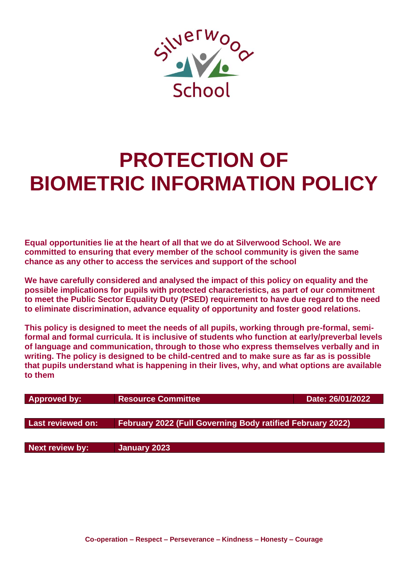

# **PROTECTION OF BIOMETRIC INFORMATION POLICY**

**Equal opportunities lie at the heart of all that we do at Silverwood School. We are committed to ensuring that every member of the school community is given the same chance as any other to access the services and support of the school**

**We have carefully considered and analysed the impact of this policy on equality and the possible implications for pupils with protected characteristics, as part of our commitment to meet the Public Sector Equality Duty (PSED) requirement to have due regard to the need to eliminate discrimination, advance equality of opportunity and foster good relations.**

**This policy is designed to meet the needs of all pupils, working through pre-formal, semiformal and formal curricula. It is inclusive of students who function at early/preverbal levels of language and communication, through to those who express themselves verbally and in writing. The policy is designed to be child-centred and to make sure as far as is possible that pupils understand what is happening in their lives, why, and what options are available to them**

| <b>Approved by:</b> | <b>Resource Committee</b>                                         | Date: 26/01/2022 |
|---------------------|-------------------------------------------------------------------|------------------|
|                     |                                                                   |                  |
| Last reviewed on:   | <b>February 2022 (Full Governing Body ratified February 2022)</b> |                  |
|                     |                                                                   |                  |
| Next review by:     | January 2023                                                      |                  |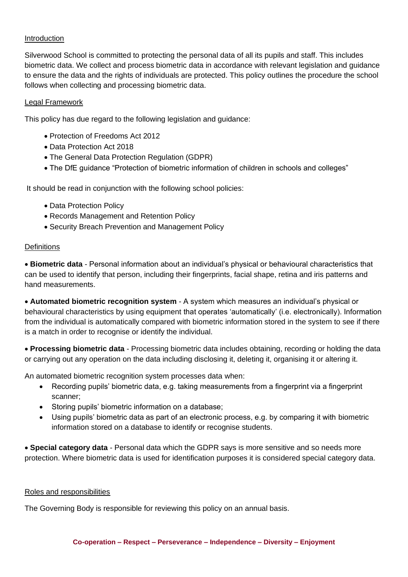## Introduction

Silverwood School is committed to protecting the personal data of all its pupils and staff. This includes biometric data. We collect and process biometric data in accordance with relevant legislation and guidance to ensure the data and the rights of individuals are protected. This policy outlines the procedure the school follows when collecting and processing biometric data.

### Legal Framework

This policy has due regard to the following legislation and guidance:

- Protection of Freedoms Act 2012
- Data Protection Act 2018
- The General Data Protection Regulation (GDPR)
- The DfE guidance "Protection of biometric information of children in schools and colleges"

It should be read in conjunction with the following school policies:

- Data Protection Policy
- Records Management and Retention Policy
- Security Breach Prevention and Management Policy

#### **Definitions**

• **Biometric data** - Personal information about an individual's physical or behavioural characteristics that can be used to identify that person, including their fingerprints, facial shape, retina and iris patterns and hand measurements.

• **Automated biometric recognition system** - A system which measures an individual's physical or behavioural characteristics by using equipment that operates 'automatically' (i.e. electronically). Information from the individual is automatically compared with biometric information stored in the system to see if there is a match in order to recognise or identify the individual.

• **Processing biometric data** - Processing biometric data includes obtaining, recording or holding the data or carrying out any operation on the data including disclosing it, deleting it, organising it or altering it.

An automated biometric recognition system processes data when:

- Recording pupils' biometric data, e.g. taking measurements from a fingerprint via a fingerprint scanner;
- Storing pupils' biometric information on a database;
- Using pupils' biometric data as part of an electronic process, e.g. by comparing it with biometric information stored on a database to identify or recognise students.

• **Special category data** - Personal data which the GDPR says is more sensitive and so needs more protection. Where biometric data is used for identification purposes it is considered special category data.

### Roles and responsibilities

The Governing Body is responsible for reviewing this policy on an annual basis.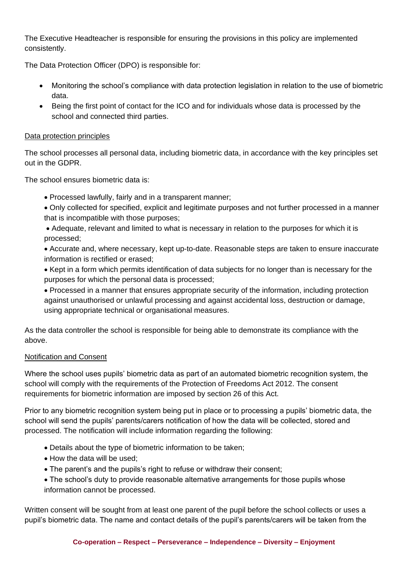The Executive Headteacher is responsible for ensuring the provisions in this policy are implemented consistently.

The Data Protection Officer (DPO) is responsible for:

- Monitoring the school's compliance with data protection legislation in relation to the use of biometric data.
- Being the first point of contact for the ICO and for individuals whose data is processed by the school and connected third parties.

## Data protection principles

The school processes all personal data, including biometric data, in accordance with the key principles set out in the GDPR.

The school ensures biometric data is:

- Processed lawfully, fairly and in a transparent manner;
- Only collected for specified, explicit and legitimate purposes and not further processed in a manner that is incompatible with those purposes;
- Adequate, relevant and limited to what is necessary in relation to the purposes for which it is processed;
- Accurate and, where necessary, kept up-to-date. Reasonable steps are taken to ensure inaccurate information is rectified or erased;
- Kept in a form which permits identification of data subjects for no longer than is necessary for the purposes for which the personal data is processed;
- Processed in a manner that ensures appropriate security of the information, including protection against unauthorised or unlawful processing and against accidental loss, destruction or damage, using appropriate technical or organisational measures.

As the data controller the school is responsible for being able to demonstrate its compliance with the above.

### Notification and Consent

Where the school uses pupils' biometric data as part of an automated biometric recognition system, the school will comply with the requirements of the Protection of Freedoms Act 2012. The consent requirements for biometric information are imposed by section 26 of this Act.

Prior to any biometric recognition system being put in place or to processing a pupils' biometric data, the school will send the pupils' parents/carers notification of how the data will be collected, stored and processed. The notification will include information regarding the following:

- Details about the type of biometric information to be taken;
- How the data will be used;
- The parent's and the pupils's right to refuse or withdraw their consent;
- The school's duty to provide reasonable alternative arrangements for those pupils whose information cannot be processed.

Written consent will be sought from at least one parent of the pupil before the school collects or uses a pupil's biometric data. The name and contact details of the pupil's parents/carers will be taken from the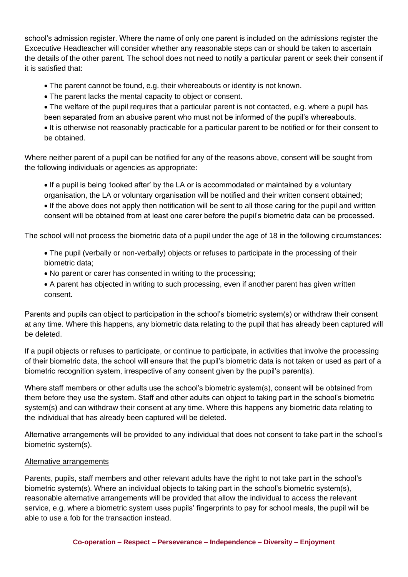school's admission register. Where the name of only one parent is included on the admissions register the Excecutive Headteacher will consider whether any reasonable steps can or should be taken to ascertain the details of the other parent. The school does not need to notify a particular parent or seek their consent if it is satisfied that:

- The parent cannot be found, e.g. their whereabouts or identity is not known.
- The parent lacks the mental capacity to object or consent.
- The welfare of the pupil requires that a particular parent is not contacted, e.g. where a pupil has been separated from an abusive parent who must not be informed of the pupil's whereabouts.

• It is otherwise not reasonably practicable for a particular parent to be notified or for their consent to be obtained.

Where neither parent of a pupil can be notified for any of the reasons above, consent will be sought from the following individuals or agencies as appropriate:

• If a pupil is being 'looked after' by the LA or is accommodated or maintained by a voluntary organisation, the LA or voluntary organisation will be notified and their written consent obtained;

• If the above does not apply then notification will be sent to all those caring for the pupil and written consent will be obtained from at least one carer before the pupil's biometric data can be processed.

The school will not process the biometric data of a pupil under the age of 18 in the following circumstances:

- The pupil (verbally or non-verbally) objects or refuses to participate in the processing of their biometric data;
- No parent or carer has consented in writing to the processing;
- A parent has objected in writing to such processing, even if another parent has given written consent.

Parents and pupils can object to participation in the school's biometric system(s) or withdraw their consent at any time. Where this happens, any biometric data relating to the pupil that has already been captured will be deleted.

If a pupil objects or refuses to participate, or continue to participate, in activities that involve the processing of their biometric data, the school will ensure that the pupil's biometric data is not taken or used as part of a biometric recognition system, irrespective of any consent given by the pupil's parent(s).

Where staff members or other adults use the school's biometric system(s), consent will be obtained from them before they use the system. Staff and other adults can object to taking part in the school's biometric system(s) and can withdraw their consent at any time. Where this happens any biometric data relating to the individual that has already been captured will be deleted.

Alternative arrangements will be provided to any individual that does not consent to take part in the school's biometric system(s).

## Alternative arrangements

Parents, pupils, staff members and other relevant adults have the right to not take part in the school's biometric system(s). Where an individual objects to taking part in the school's biometric system(s), reasonable alternative arrangements will be provided that allow the individual to access the relevant service, e.g. where a biometric system uses pupils' fingerprints to pay for school meals, the pupil will be able to use a fob for the transaction instead.